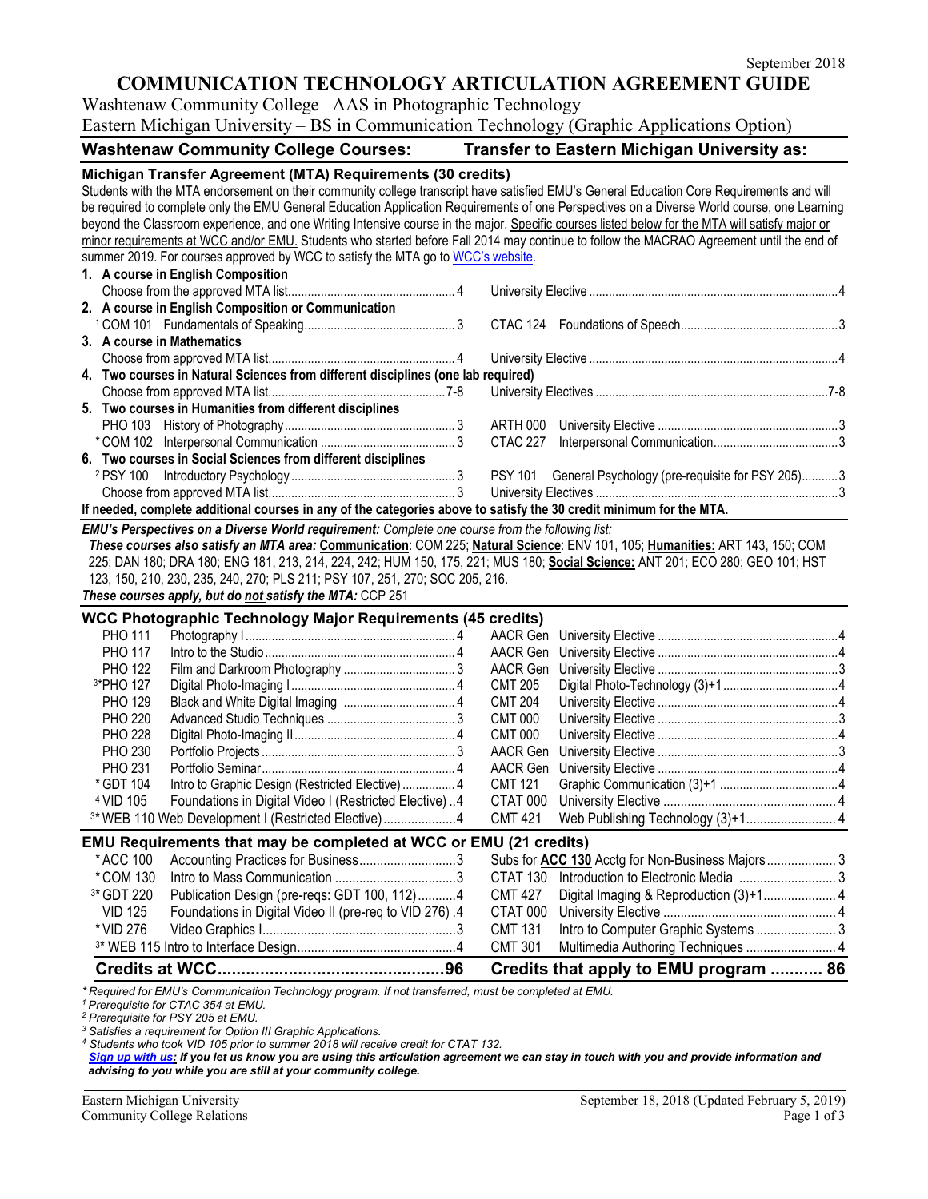# **COMMUNICATION TECHNOLOGY ARTICULATION AGREEMENT GUIDE**

Washtenaw Community College– AAS in Photographic Technology Eastern Michigan University – BS in Communication Technology (Graphic Applications Option)

## **Washtenaw Community College Courses: Transfer to Eastern Michigan University as:**

| Michigan Transfer Agreement (MTA) Requirements (30 credits)                                                                                                                                                                                                                                 |                                                                                               |  |  |  |
|---------------------------------------------------------------------------------------------------------------------------------------------------------------------------------------------------------------------------------------------------------------------------------------------|-----------------------------------------------------------------------------------------------|--|--|--|
| Students with the MTA endorsement on their community college transcript have satisfied EMU's General Education Core Requirements and will                                                                                                                                                   |                                                                                               |  |  |  |
| be required to complete only the EMU General Education Application Requirements of one Perspectives on a Diverse World course, one Learning                                                                                                                                                 |                                                                                               |  |  |  |
| beyond the Classroom experience, and one Writing Intensive course in the major. Specific courses listed below for the MTA will satisfy major or<br>minor requirements at WCC and/or EMU. Students who started before Fall 2014 may continue to follow the MACRAO Agreement until the end of |                                                                                               |  |  |  |
|                                                                                                                                                                                                                                                                                             |                                                                                               |  |  |  |
| summer 2019. For courses approved by WCC to satisfy the MTA go to WCC's website.                                                                                                                                                                                                            |                                                                                               |  |  |  |
| 1. A course in English Composition                                                                                                                                                                                                                                                          |                                                                                               |  |  |  |
|                                                                                                                                                                                                                                                                                             |                                                                                               |  |  |  |
| 2. A course in English Composition or Communication                                                                                                                                                                                                                                         |                                                                                               |  |  |  |
|                                                                                                                                                                                                                                                                                             |                                                                                               |  |  |  |
| 3. A course in Mathematics                                                                                                                                                                                                                                                                  |                                                                                               |  |  |  |
| 4. Two courses in Natural Sciences from different disciplines (one lab required)                                                                                                                                                                                                            |                                                                                               |  |  |  |
|                                                                                                                                                                                                                                                                                             |                                                                                               |  |  |  |
| 5. Two courses in Humanities from different disciplines                                                                                                                                                                                                                                     |                                                                                               |  |  |  |
|                                                                                                                                                                                                                                                                                             |                                                                                               |  |  |  |
|                                                                                                                                                                                                                                                                                             | CTAC 227                                                                                      |  |  |  |
| 6. Two courses in Social Sciences from different disciplines                                                                                                                                                                                                                                |                                                                                               |  |  |  |
|                                                                                                                                                                                                                                                                                             | PSY 101 General Psychology (pre-requisite for PSY 205)3                                       |  |  |  |
|                                                                                                                                                                                                                                                                                             |                                                                                               |  |  |  |
| If needed, complete additional courses in any of the categories above to satisfy the 30 credit minimum for the MTA.                                                                                                                                                                         |                                                                                               |  |  |  |
| EMU's Perspectives on a Diverse World requirement: Complete one course from the following list:                                                                                                                                                                                             |                                                                                               |  |  |  |
| These courses also satisfy an MTA area: Communication: COM 225; Natural Science: ENV 101, 105; Humanities: ART 143, 150; COM                                                                                                                                                                |                                                                                               |  |  |  |
|                                                                                                                                                                                                                                                                                             |                                                                                               |  |  |  |
| 225; DAN 180; DRA 180; ENG 181, 213, 214, 224, 242; HUM 150, 175, 221; MUS 180; Social Science: ANT 201; ECO 280; GEO 101; HST                                                                                                                                                              |                                                                                               |  |  |  |
|                                                                                                                                                                                                                                                                                             |                                                                                               |  |  |  |
| 123, 150, 210, 230, 235, 240, 270; PLS 211; PSY 107, 251, 270; SOC 205, 216.                                                                                                                                                                                                                |                                                                                               |  |  |  |
| These courses apply, but do not satisfy the MTA: CCP 251                                                                                                                                                                                                                                    |                                                                                               |  |  |  |
| WCC Photographic Technology Major Requirements (45 credits)                                                                                                                                                                                                                                 |                                                                                               |  |  |  |
| <b>PHO 111</b>                                                                                                                                                                                                                                                                              |                                                                                               |  |  |  |
| <b>PHO 117</b>                                                                                                                                                                                                                                                                              | AACR Gen                                                                                      |  |  |  |
| <b>PHO 122</b>                                                                                                                                                                                                                                                                              | AACR Gen                                                                                      |  |  |  |
| 3*PHO 127                                                                                                                                                                                                                                                                                   | <b>CMT 205</b>                                                                                |  |  |  |
| <b>PHO 129</b>                                                                                                                                                                                                                                                                              | <b>CMT 204</b>                                                                                |  |  |  |
| <b>PHO 220</b>                                                                                                                                                                                                                                                                              | <b>CMT 000</b>                                                                                |  |  |  |
| <b>PHO 228</b>                                                                                                                                                                                                                                                                              | <b>CMT 000</b>                                                                                |  |  |  |
| <b>PHO 230</b>                                                                                                                                                                                                                                                                              | AACR Gen                                                                                      |  |  |  |
| <b>PHO 231</b><br>* GDT 104                                                                                                                                                                                                                                                                 | AACR Gen                                                                                      |  |  |  |
| Intro to Graphic Design (Restricted Elective)  4                                                                                                                                                                                                                                            | <b>CMT 121</b>                                                                                |  |  |  |
| <sup>4</sup> VID 105<br>Foundations in Digital Video I (Restricted Elective)4                                                                                                                                                                                                               | CTAT 000                                                                                      |  |  |  |
| 3* WEB 110 Web Development I (Restricted Elective)4                                                                                                                                                                                                                                         | Web Publishing Technology (3)+1 4<br><b>CMT 421</b>                                           |  |  |  |
| EMU Requirements that may be completed at WCC or EMU (21 credits)                                                                                                                                                                                                                           |                                                                                               |  |  |  |
| * ACC 100<br>Accounting Practices for Business3                                                                                                                                                                                                                                             | Subs for ACC 130 Acctg for Non-Business Majors 3                                              |  |  |  |
| *COM 130                                                                                                                                                                                                                                                                                    | CTAT 130                                                                                      |  |  |  |
| <sup>3*</sup> GDT 220<br>Publication Design (pre-reqs: GDT 100, 112)4                                                                                                                                                                                                                       | <b>CMT 427</b>                                                                                |  |  |  |
| <b>VID 125</b><br>Foundations in Digital Video II (pre-req to VID 276).4                                                                                                                                                                                                                    | CTAT 000                                                                                      |  |  |  |
| * VID 276                                                                                                                                                                                                                                                                                   | <b>CMT 131</b>                                                                                |  |  |  |
|                                                                                                                                                                                                                                                                                             | <b>CMT 301</b><br>Multimedia Authoring Techniques  4<br>Credits that apply to EMU program  86 |  |  |  |

*\* Required for EMU's Communication Technology program. If not transferred, must be completed at EMU.*

*<sup>1</sup> Prerequisite for CTAC 354 at EMU.*

*<sup>2</sup> Prerequisite for PSY 205 at EMU.*

*<sup>3</sup> Satisfies a requirement for Option III Graphic Applications.*

*<sup>4</sup> Students who took VID 105 prior to summer 2018 will receive credit for CTAT 132.* 

[Sign up with us:](https://www.emich.edu/ccr/articulation-agreements/signup.php) If you let us know you are using this articulation agreement we can stay in touch with you and provide information and *advising to you while you are still at your community college.*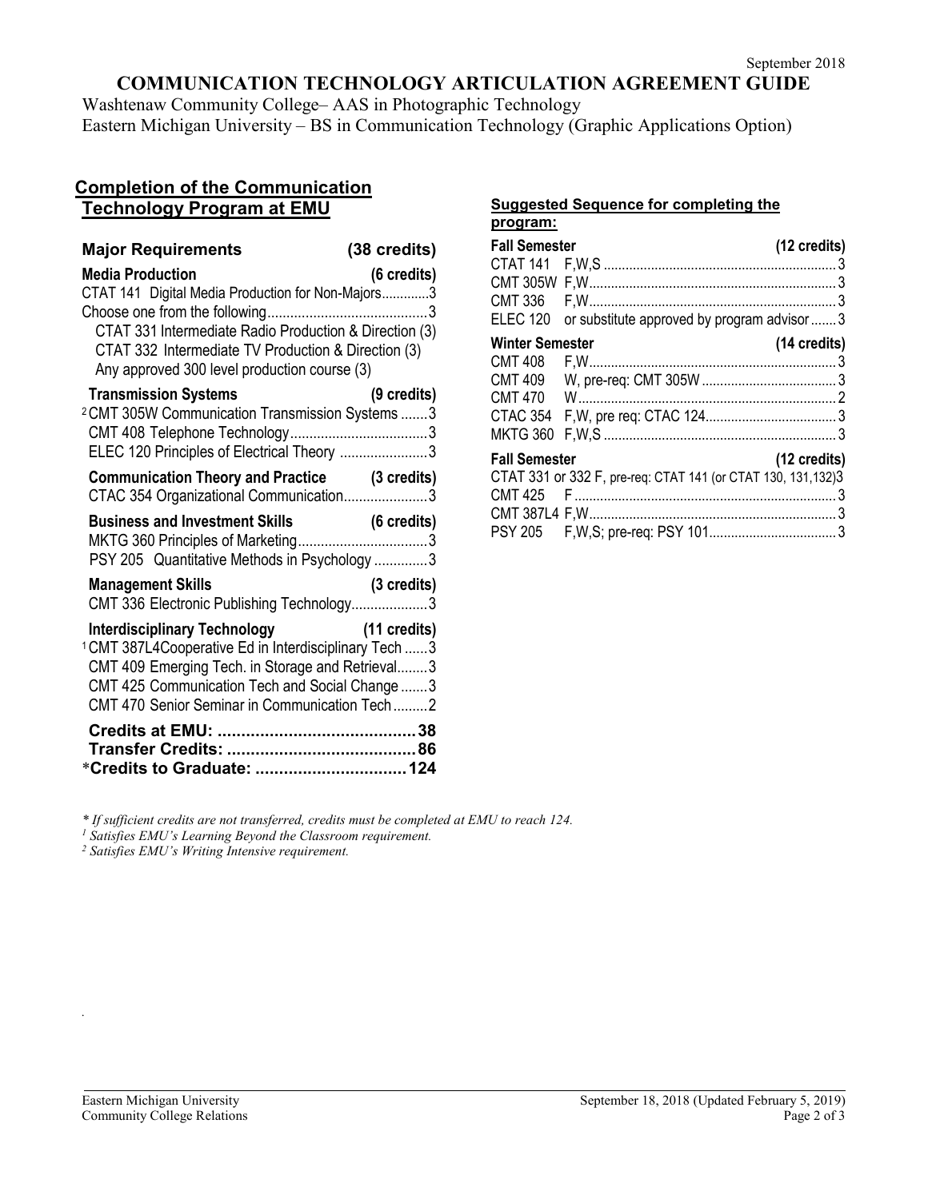# **COMMUNICATION TECHNOLOGY ARTICULATION AGREEMENT GUIDE**

Washtenaw Community College– AAS in Photographic Technology Eastern Michigan University – BS in Communication Technology (Graphic Applications Option)

## **Completion of the Communication Technology Program at EMU**

| <b>Major Requirements</b>                                                                                                                                                                                                                                              | (38 credits) |
|------------------------------------------------------------------------------------------------------------------------------------------------------------------------------------------------------------------------------------------------------------------------|--------------|
| <b>Media Production</b><br>CTAT 141 Digital Media Production for Non-Majors3<br>CTAT 331 Intermediate Radio Production & Direction (3)<br>CTAT 332 Intermediate TV Production & Direction (3)<br>Any approved 300 level production course (3)                          | (6 credits)  |
| <b>Transmission Systems</b><br><sup>2</sup> CMT 305W Communication Transmission Systems  3<br>ELEC 120 Principles of Electrical Theory 3                                                                                                                               | (9 credits)  |
| <b>Communication Theory and Practice (3 credits)</b><br>CTAC 354 Organizational Communication3                                                                                                                                                                         |              |
|                                                                                                                                                                                                                                                                        |              |
| PSY 205 Quantitative Methods in Psychology 3                                                                                                                                                                                                                           |              |
| <b>Management Skills</b><br>CMT 336 Electronic Publishing Technology3                                                                                                                                                                                                  | (3 credits)  |
| Interdisciplinary Technology (11 credits)<br><sup>1</sup> CMT 387L4Cooperative Ed in Interdisciplinary Tech  3<br>CMT 409 Emerging Tech. in Storage and Retrieval3<br>CMT 425 Communication Tech and Social Change  3<br>CMT 470 Senior Seminar in Communication Tech2 |              |

#### **Suggested Sequence for completing the program:**

| <b>Fall Semester</b>                     |                                                                | (12 credits) |  |  |
|------------------------------------------|----------------------------------------------------------------|--------------|--|--|
| CMT 336                                  |                                                                |              |  |  |
|                                          | ELEC 120 or substitute approved by program advisor  3          |              |  |  |
| <b>Winter Semester</b><br><b>CMT 408</b> |                                                                | (14 credits) |  |  |
| <b>CMT 409</b><br><b>CMT 470</b>         |                                                                |              |  |  |
| <b>MKTG 360</b>                          |                                                                |              |  |  |
| <b>Fall Semester</b><br>(12 credits)     |                                                                |              |  |  |
| <b>CMT 425</b>                           | CTAT 331 or 332 F, pre-req: CTAT 141 (or CTAT 130, 131, 132) 3 |              |  |  |
|                                          |                                                                |              |  |  |
|                                          |                                                                |              |  |  |

*\* If sufficient credits are not transferred, credits must be completed at EMU to reach 124. 1 Satisfies EMU's Learning Beyond the Classroom requirement.*

*<sup>2</sup> Satisfies EMU's Writing Intensive requirement.* 

*.*